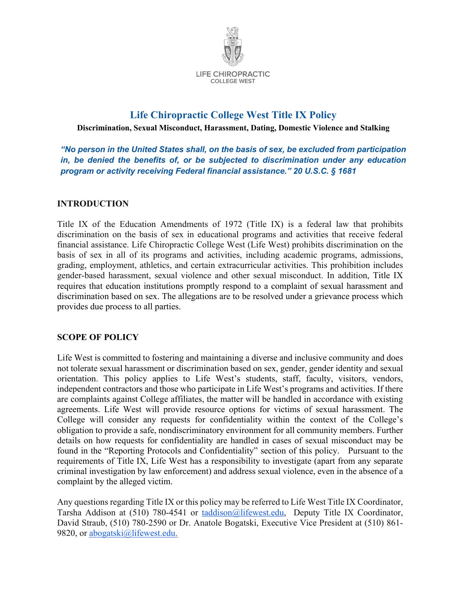

# **Life Chiropractic College West Title IX Policy**

**Discrimination, Sexual Misconduct, Harassment, Dating, Domestic Violence and Stalking**

*"No person in the United States shall, on the basis of sex, be excluded from participation in, be denied the benefits of, or be subjected to discrimination under any education program or activity receiving Federal financial assistance." 20 U.S.C. § 1681*

#### **INTRODUCTION**

Title IX of the Education Amendments of 1972 (Title IX) is a federal law that prohibits discrimination on the basis of sex in educational programs and activities that receive federal financial assistance. Life Chiropractic College West (Life West) prohibits discrimination on the basis of sex in all of its programs and activities, including academic programs, admissions, grading, employment, athletics, and certain extracurricular activities. This prohibition includes gender-based harassment, sexual violence and other sexual misconduct. In addition, Title IX requires that education institutions promptly respond to a complaint of sexual harassment and discrimination based on sex. The allegations are to be resolved under a grievance process which provides due process to all parties.

#### **SCOPE OF POLICY**

Life West is committed to fostering and maintaining a diverse and inclusive community and does not tolerate sexual harassment or discrimination based on sex, gender, gender identity and sexual orientation. This policy applies to Life West's students, staff, faculty, visitors, vendors, independent contractors and those who participate in Life West's programs and activities. If there are complaints against College affiliates, the matter will be handled in accordance with existing agreements. Life West will provide resource options for victims of sexual harassment. The College will consider any requests for confidentiality within the context of the College's obligation to provide a safe, nondiscriminatory environment for all community members. Further details on how requests for confidentiality are handled in cases of sexual misconduct may be found in the "Reporting Protocols and Confidentiality" section of this policy. Pursuant to the requirements of Title IX, Life West has a responsibility to investigate (apart from any separate criminal investigation by law enforcement) and address sexual violence, even in the absence of a complaint by the alleged victim.

Any questions regarding Title IX or this policy may be referred to Life West Title IX Coordinator, Tarsha Addison at (510) 780-4541 or taddison@lifewest.edu, Deputy Title IX Coordinator, David Straub, (510) 780-2590 or Dr. Anatole Bogatski, Executive Vice President at (510) 861- 9820, or abogatski@lifewest.edu.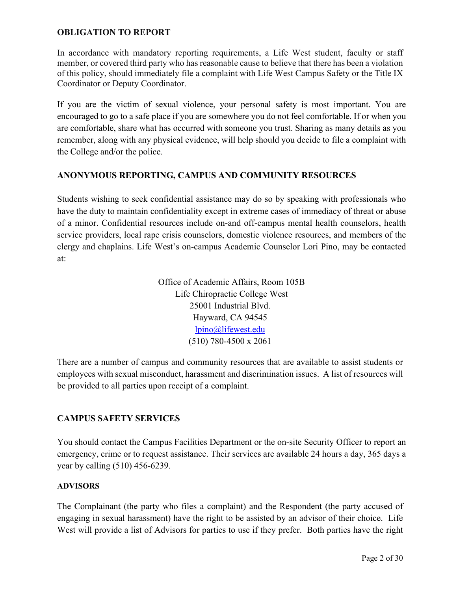#### **OBLIGATION TO REPORT**

In accordance with mandatory reporting requirements, a Life West student, faculty or staff member, or covered third party who has reasonable cause to believe that there has been a violation of this policy, should immediately file a complaint with Life West Campus Safety or the Title IX Coordinator or Deputy Coordinator.

If you are the victim of sexual violence, your personal safety is most important. You are encouraged to go to a safe place if you are somewhere you do not feel comfortable. If or when you are comfortable, share what has occurred with someone you trust. Sharing as many details as you remember, along with any physical evidence, will help should you decide to file a complaint with the College and/or the police.

#### **ANONYMOUS REPORTING, CAMPUS AND COMMUNITY RESOURCES**

Students wishing to seek confidential assistance may do so by speaking with professionals who have the duty to maintain confidentiality except in extreme cases of immediacy of threat or abuse of a minor. Confidential resources include on-and off-campus mental health counselors, health service providers, local rape crisis counselors, domestic violence resources, and members of the clergy and chaplains. Life West's on-campus Academic Counselor Lori Pino, may be contacted at:

> Office of Academic Affairs, Room 105B Life Chiropractic College West 25001 Industrial Blvd. Hayward, CA 94545 lpino@lifewest.edu (510) 780-4500 x 2061

There are a number of campus and community resources that are available to assist students or employees with sexual misconduct, harassment and discrimination issues. A list of resources will be provided to all parties upon receipt of a complaint.

#### **CAMPUS SAFETY SERVICES**

You should contact the Campus Facilities Department or the on-site Security Officer to report an emergency, crime or to request assistance. Their services are available 24 hours a day, 365 days a year by calling (510) 456-6239.

#### **ADVISORS**

The Complainant (the party who files a complaint) and the Respondent (the party accused of engaging in sexual harassment) have the right to be assisted by an advisor of their choice. Life West will provide a list of Advisors for parties to use if they prefer. Both parties have the right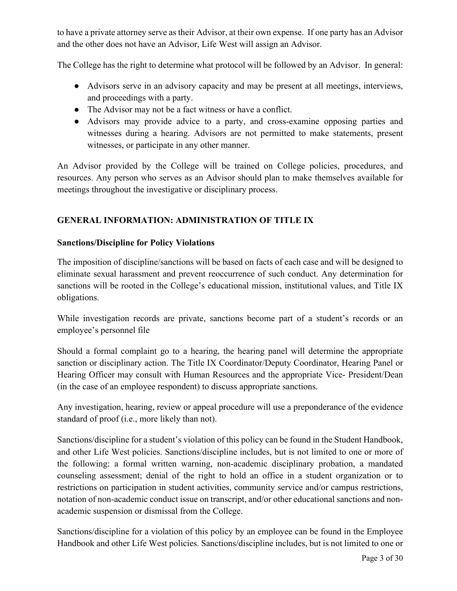to have a private attorney serve as their Advisor, at their own expense. If one party has an Advisor and the other does not have an Advisor, Life West will assign an Advisor.

The College has the right to determine what protocol will be followed by an Advisor. In general:

- Advisors serve in an advisory capacity and may be present at all meetings, interviews, and proceedings with a party.
- The Advisor may not be a fact witness or have a conflict.
- Advisors may provide advice to a party, and cross-examine opposing parties and witnesses during a hearing. Advisors are not permitted to make statements, present witnesses, or participate in any other manner.

An Advisor provided by the College will be trained on College policies, procedures, and resources. Any person who serves as an Advisor should plan to make themselves available for meetings throughout the investigative or disciplinary process.

### **GENERAL INFORMATION: ADMINISTRATION OF TITLE IX**

#### **Sanctions/Discipline for Policy Violations**

The imposition of discipline/sanctions will be based on facts of each case and will be designed to eliminate sexual harassment and prevent reoccurrence of such conduct. Any determination for sanctions will be rooted in the College's educational mission, institutional values, and Title IX obligations.

While investigation records are private, sanctions become part of a student's records or an employee's personnel file

Should a formal complaint go to a hearing, the hearing panel will determine the appropriate sanction or disciplinary action. The Title IX Coordinator/Deputy Coordinator, Hearing Panel or Hearing Officer may consult with Human Resources and the appropriate Vice- President/Dean (in the case of an employee respondent) to discuss appropriate sanctions.

Any investigation, hearing, review or appeal procedure will use a preponderance of the evidence standard of proof (i.e., more likely than not).

Sanctions/discipline for a student's violation of this policy can be found in the Student Handbook, and other Life West policies. Sanctions/discipline includes, but is not limited to one or more of the following: a formal written warning, non-academic disciplinary probation, a mandated counseling assessment; denial of the right to hold an office in a student organization or to restrictions on participation in student activities, community service and/or campus restrictions, notation of non-academic conduct issue on transcript, and/or other educational sanctions and nonacademic suspension or dismissal from the College.

Sanctions/discipline for a violation of this policy by an employee can be found in the Employee Handbook and other Life West policies. Sanctions/discipline includes, but is not limited to one or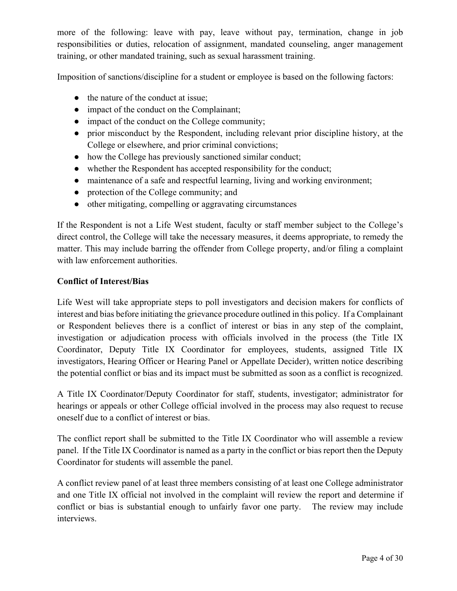more of the following: leave with pay, leave without pay, termination, change in job responsibilities or duties, relocation of assignment, mandated counseling, anger management training, or other mandated training, such as sexual harassment training.

Imposition of sanctions/discipline for a student or employee is based on the following factors:

- the nature of the conduct at issue;
- impact of the conduct on the Complainant;
- impact of the conduct on the College community;
- prior misconduct by the Respondent, including relevant prior discipline history, at the College or elsewhere, and prior criminal convictions;
- how the College has previously sanctioned similar conduct;
- whether the Respondent has accepted responsibility for the conduct;
- maintenance of a safe and respectful learning, living and working environment;
- protection of the College community; and
- other mitigating, compelling or aggravating circumstances

If the Respondent is not a Life West student, faculty or staff member subject to the College's direct control, the College will take the necessary measures, it deems appropriate, to remedy the matter. This may include barring the offender from College property, and/or filing a complaint with law enforcement authorities.

#### **Conflict of Interest/Bias**

Life West will take appropriate steps to poll investigators and decision makers for conflicts of interest and bias before initiating the grievance procedure outlined in this policy. If a Complainant or Respondent believes there is a conflict of interest or bias in any step of the complaint, investigation or adjudication process with officials involved in the process (the Title IX Coordinator, Deputy Title IX Coordinator for employees, students, assigned Title IX investigators, Hearing Officer or Hearing Panel or Appellate Decider), written notice describing the potential conflict or bias and its impact must be submitted as soon as a conflict is recognized.

A Title IX Coordinator/Deputy Coordinator for staff, students, investigator; administrator for hearings or appeals or other College official involved in the process may also request to recuse oneself due to a conflict of interest or bias.

The conflict report shall be submitted to the Title IX Coordinator who will assemble a review panel. If the Title IX Coordinator is named as a party in the conflict or bias report then the Deputy Coordinator for students will assemble the panel.

A conflict review panel of at least three members consisting of at least one College administrator and one Title IX official not involved in the complaint will review the report and determine if conflict or bias is substantial enough to unfairly favor one party. The review may include interviews.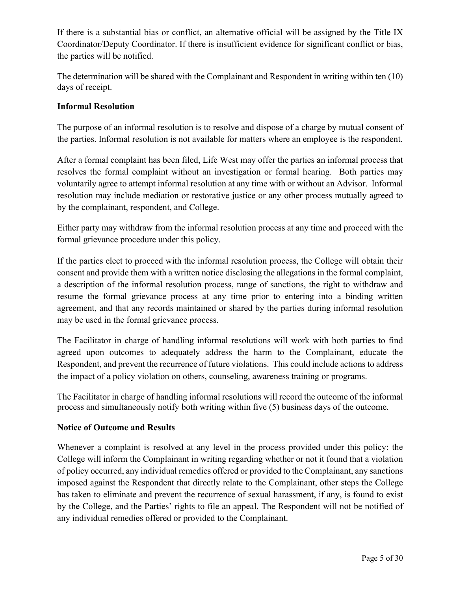If there is a substantial bias or conflict, an alternative official will be assigned by the Title IX Coordinator/Deputy Coordinator. If there is insufficient evidence for significant conflict or bias, the parties will be notified.

The determination will be shared with the Complainant and Respondent in writing within ten (10) days of receipt.

### **Informal Resolution**

The purpose of an informal resolution is to resolve and dispose of a charge by mutual consent of the parties. Informal resolution is not available for matters where an employee is the respondent.

After a formal complaint has been filed, Life West may offer the parties an informal process that resolves the formal complaint without an investigation or formal hearing. Both parties may voluntarily agree to attempt informal resolution at any time with or without an Advisor. Informal resolution may include mediation or restorative justice or any other process mutually agreed to by the complainant, respondent, and College.

Either party may withdraw from the informal resolution process at any time and proceed with the formal grievance procedure under this policy.

If the parties elect to proceed with the informal resolution process, the College will obtain their consent and provide them with a written notice disclosing the allegations in the formal complaint, a description of the informal resolution process, range of sanctions, the right to withdraw and resume the formal grievance process at any time prior to entering into a binding written agreement, and that any records maintained or shared by the parties during informal resolution may be used in the formal grievance process.

The Facilitator in charge of handling informal resolutions will work with both parties to find agreed upon outcomes to adequately address the harm to the Complainant, educate the Respondent, and prevent the recurrence of future violations. This could include actions to address the impact of a policy violation on others, counseling, awareness training or programs.

The Facilitator in charge of handling informal resolutions will record the outcome of the informal process and simultaneously notify both writing within five (5) business days of the outcome.

#### **Notice of Outcome and Results**

Whenever a complaint is resolved at any level in the process provided under this policy: the College will inform the Complainant in writing regarding whether or not it found that a violation of policy occurred, any individual remedies offered or provided to the Complainant, any sanctions imposed against the Respondent that directly relate to the Complainant, other steps the College has taken to eliminate and prevent the recurrence of sexual harassment, if any, is found to exist by the College, and the Parties' rights to file an appeal. The Respondent will not be notified of any individual remedies offered or provided to the Complainant.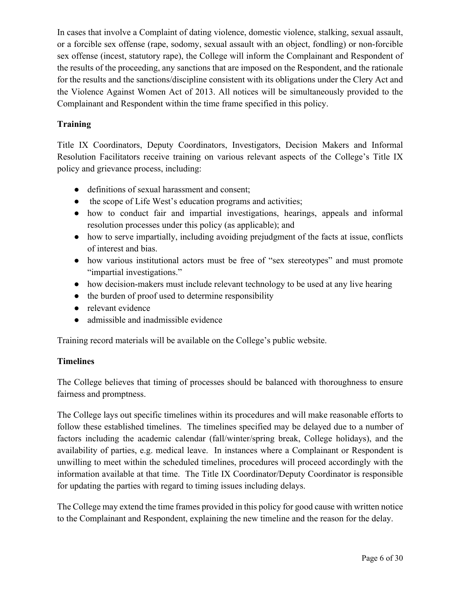In cases that involve a Complaint of dating violence, domestic violence, stalking, sexual assault, or a forcible sex offense (rape, sodomy, sexual assault with an object, fondling) or non-forcible sex offense (incest, statutory rape), the College will inform the Complainant and Respondent of the results of the proceeding, any sanctions that are imposed on the Respondent, and the rationale for the results and the sanctions/discipline consistent with its obligations under the Clery Act and the Violence Against Women Act of 2013. All notices will be simultaneously provided to the Complainant and Respondent within the time frame specified in this policy.

### **Training**

Title IX Coordinators, Deputy Coordinators, Investigators, Decision Makers and Informal Resolution Facilitators receive training on various relevant aspects of the College's Title IX policy and grievance process, including:

- definitions of sexual harassment and consent;
- the scope of Life West's education programs and activities;
- how to conduct fair and impartial investigations, hearings, appeals and informal resolution processes under this policy (as applicable); and
- how to serve impartially, including avoiding prejudgment of the facts at issue, conflicts of interest and bias.
- how various institutional actors must be free of "sex stereotypes" and must promote "impartial investigations."
- how decision-makers must include relevant technology to be used at any live hearing
- the burden of proof used to determine responsibility
- relevant evidence
- admissible and inadmissible evidence

Training record materials will be available on the College's public website.

#### **Timelines**

The College believes that timing of processes should be balanced with thoroughness to ensure fairness and promptness.

The College lays out specific timelines within its procedures and will make reasonable efforts to follow these established timelines. The timelines specified may be delayed due to a number of factors including the academic calendar (fall/winter/spring break, College holidays), and the availability of parties, e.g. medical leave. In instances where a Complainant or Respondent is unwilling to meet within the scheduled timelines, procedures will proceed accordingly with the information available at that time. The Title IX Coordinator/Deputy Coordinator is responsible for updating the parties with regard to timing issues including delays.

The College may extend the time frames provided in this policy for good cause with written notice to the Complainant and Respondent, explaining the new timeline and the reason for the delay.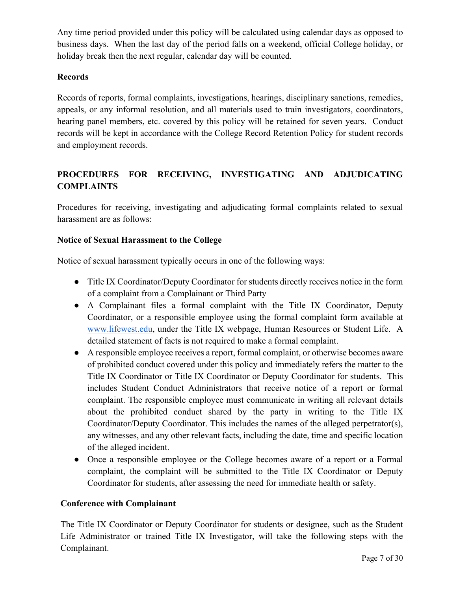Any time period provided under this policy will be calculated using calendar days as opposed to business days. When the last day of the period falls on a weekend, official College holiday, or holiday break then the next regular, calendar day will be counted.

### **Records**

Records of reports, formal complaints, investigations, hearings, disciplinary sanctions, remedies, appeals, or any informal resolution, and all materials used to train investigators, coordinators, hearing panel members, etc. covered by this policy will be retained for seven years. Conduct records will be kept in accordance with the College Record Retention Policy for student records and employment records.

# **PROCEDURES FOR RECEIVING, INVESTIGATING AND ADJUDICATING COMPLAINTS**

Procedures for receiving, investigating and adjudicating formal complaints related to sexual harassment are as follows:

### **Notice of Sexual Harassment to the College**

Notice of sexual harassment typically occurs in one of the following ways:

- Title IX Coordinator/Deputy Coordinator for students directly receives notice in the form of a complaint from a Complainant or Third Party
- A Complainant files a formal complaint with the Title IX Coordinator, Deputy Coordinator, or a responsible employee using the formal complaint form available at www.lifewest.edu, under the Title IX webpage, Human Resources or Student Life. A detailed statement of facts is not required to make a formal complaint.
- A responsible employee receives a report, formal complaint, or otherwise becomes aware of prohibited conduct covered under this policy and immediately refers the matter to the Title IX Coordinator or Title IX Coordinator or Deputy Coordinator for students. This includes Student Conduct Administrators that receive notice of a report or formal complaint. The responsible employee must communicate in writing all relevant details about the prohibited conduct shared by the party in writing to the Title IX Coordinator/Deputy Coordinator. This includes the names of the alleged perpetrator(s), any witnesses, and any other relevant facts, including the date, time and specific location of the alleged incident.
- Once a responsible employee or the College becomes aware of a report or a Formal complaint, the complaint will be submitted to the Title IX Coordinator or Deputy Coordinator for students, after assessing the need for immediate health or safety.

#### **Conference with Complainant**

The Title IX Coordinator or Deputy Coordinator for students or designee, such as the Student Life Administrator or trained Title IX Investigator, will take the following steps with the Complainant.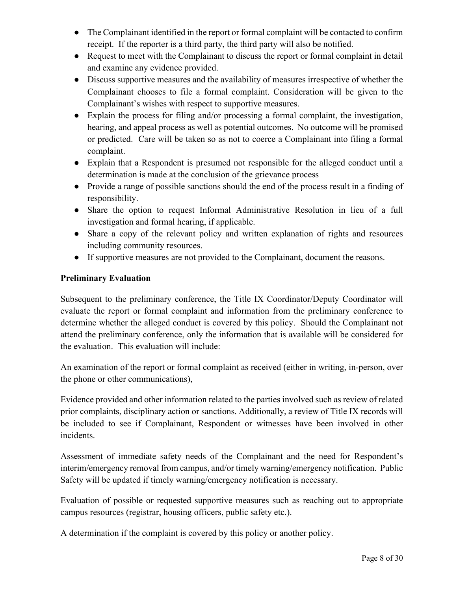- The Complainant identified in the report or formal complaint will be contacted to confirm receipt. If the reporter is a third party, the third party will also be notified.
- Request to meet with the Complainant to discuss the report or formal complaint in detail and examine any evidence provided.
- Discuss supportive measures and the availability of measures irrespective of whether the Complainant chooses to file a formal complaint. Consideration will be given to the Complainant's wishes with respect to supportive measures.
- Explain the process for filing and/or processing a formal complaint, the investigation, hearing, and appeal process as well as potential outcomes. No outcome will be promised or predicted. Care will be taken so as not to coerce a Complainant into filing a formal complaint.
- Explain that a Respondent is presumed not responsible for the alleged conduct until a determination is made at the conclusion of the grievance process
- Provide a range of possible sanctions should the end of the process result in a finding of responsibility.
- Share the option to request Informal Administrative Resolution in lieu of a full investigation and formal hearing, if applicable.
- Share a copy of the relevant policy and written explanation of rights and resources including community resources.
- If supportive measures are not provided to the Complainant, document the reasons.

### **Preliminary Evaluation**

Subsequent to the preliminary conference, the Title IX Coordinator/Deputy Coordinator will evaluate the report or formal complaint and information from the preliminary conference to determine whether the alleged conduct is covered by this policy. Should the Complainant not attend the preliminary conference, only the information that is available will be considered for the evaluation. This evaluation will include:

An examination of the report or formal complaint as received (either in writing, in-person, over the phone or other communications),

Evidence provided and other information related to the parties involved such as review of related prior complaints, disciplinary action or sanctions. Additionally, a review of Title IX records will be included to see if Complainant, Respondent or witnesses have been involved in other incidents.

Assessment of immediate safety needs of the Complainant and the need for Respondent's interim/emergency removal from campus, and/or timely warning/emergency notification. Public Safety will be updated if timely warning/emergency notification is necessary.

Evaluation of possible or requested supportive measures such as reaching out to appropriate campus resources (registrar, housing officers, public safety etc.).

A determination if the complaint is covered by this policy or another policy.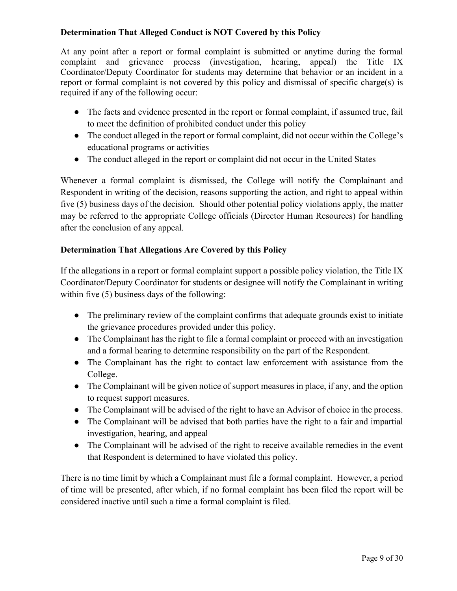## **Determination That Alleged Conduct is NOT Covered by this Policy**

At any point after a report or formal complaint is submitted or anytime during the formal complaint and grievance process (investigation, hearing, appeal) the Title IX Coordinator/Deputy Coordinator for students may determine that behavior or an incident in a report or formal complaint is not covered by this policy and dismissal of specific charge(s) is required if any of the following occur:

- The facts and evidence presented in the report or formal complaint, if assumed true, fail to meet the definition of prohibited conduct under this policy
- The conduct alleged in the report or formal complaint, did not occur within the College's educational programs or activities
- The conduct alleged in the report or complaint did not occur in the United States

Whenever a formal complaint is dismissed, the College will notify the Complainant and Respondent in writing of the decision, reasons supporting the action, and right to appeal within five (5) business days of the decision. Should other potential policy violations apply, the matter may be referred to the appropriate College officials (Director Human Resources) for handling after the conclusion of any appeal.

### **Determination That Allegations Are Covered by this Policy**

If the allegations in a report or formal complaint support a possible policy violation, the Title IX Coordinator/Deputy Coordinator for students or designee will notify the Complainant in writing within five (5) business days of the following:

- The preliminary review of the complaint confirms that adequate grounds exist to initiate the grievance procedures provided under this policy.
- The Complainant has the right to file a formal complaint or proceed with an investigation and a formal hearing to determine responsibility on the part of the Respondent.
- The Complainant has the right to contact law enforcement with assistance from the College.
- The Complainant will be given notice of support measures in place, if any, and the option to request support measures.
- The Complainant will be advised of the right to have an Advisor of choice in the process.
- The Complainant will be advised that both parties have the right to a fair and impartial investigation, hearing, and appeal
- The Complainant will be advised of the right to receive available remedies in the event that Respondent is determined to have violated this policy.

There is no time limit by which a Complainant must file a formal complaint. However, a period of time will be presented, after which, if no formal complaint has been filed the report will be considered inactive until such a time a formal complaint is filed.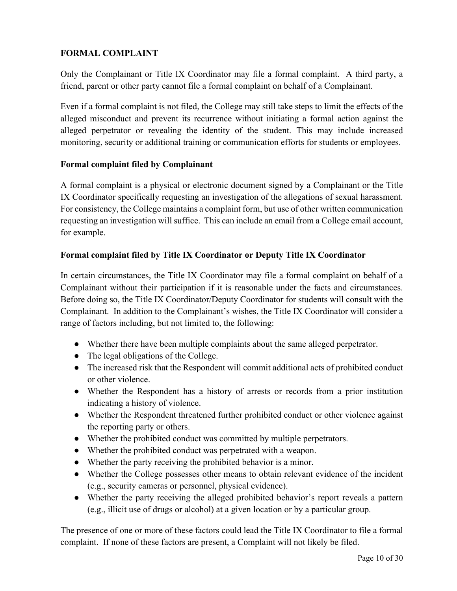### **FORMAL COMPLAINT**

Only the Complainant or Title IX Coordinator may file a formal complaint. A third party, a friend, parent or other party cannot file a formal complaint on behalf of a Complainant.

Even if a formal complaint is not filed, the College may still take steps to limit the effects of the alleged misconduct and prevent its recurrence without initiating a formal action against the alleged perpetrator or revealing the identity of the student. This may include increased monitoring, security or additional training or communication efforts for students or employees.

#### **Formal complaint filed by Complainant**

A formal complaint is a physical or electronic document signed by a Complainant or the Title IX Coordinator specifically requesting an investigation of the allegations of sexual harassment. For consistency, the College maintains a complaint form, but use of other written communication requesting an investigation will suffice. This can include an email from a College email account, for example.

#### **Formal complaint filed by Title IX Coordinator or Deputy Title IX Coordinator**

In certain circumstances, the Title IX Coordinator may file a formal complaint on behalf of a Complainant without their participation if it is reasonable under the facts and circumstances. Before doing so, the Title IX Coordinator/Deputy Coordinator for students will consult with the Complainant. In addition to the Complainant's wishes, the Title IX Coordinator will consider a range of factors including, but not limited to, the following:

- Whether there have been multiple complaints about the same alleged perpetrator.
- The legal obligations of the College.
- The increased risk that the Respondent will commit additional acts of prohibited conduct or other violence.
- Whether the Respondent has a history of arrests or records from a prior institution indicating a history of violence.
- Whether the Respondent threatened further prohibited conduct or other violence against the reporting party or others.
- Whether the prohibited conduct was committed by multiple perpetrators.
- Whether the prohibited conduct was perpetrated with a weapon.
- Whether the party receiving the prohibited behavior is a minor.
- Whether the College possesses other means to obtain relevant evidence of the incident (e.g., security cameras or personnel, physical evidence).
- Whether the party receiving the alleged prohibited behavior's report reveals a pattern (e.g., illicit use of drugs or alcohol) at a given location or by a particular group.

The presence of one or more of these factors could lead the Title IX Coordinator to file a formal complaint. If none of these factors are present, a Complaint will not likely be filed.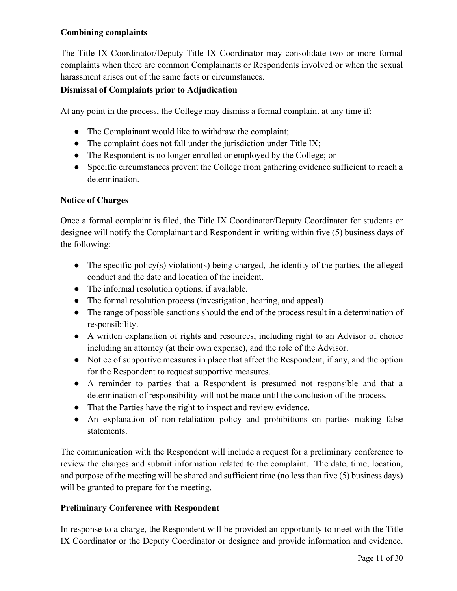### **Combining complaints**

The Title IX Coordinator/Deputy Title IX Coordinator may consolidate two or more formal complaints when there are common Complainants or Respondents involved or when the sexual harassment arises out of the same facts or circumstances.

### **Dismissal of Complaints prior to Adjudication**

At any point in the process, the College may dismiss a formal complaint at any time if:

- The Complainant would like to withdraw the complaint;
- $\bullet$  The complaint does not fall under the jurisdiction under Title IX;
- The Respondent is no longer enrolled or employed by the College; or
- Specific circumstances prevent the College from gathering evidence sufficient to reach a determination.

#### **Notice of Charges**

Once a formal complaint is filed, the Title IX Coordinator/Deputy Coordinator for students or designee will notify the Complainant and Respondent in writing within five (5) business days of the following:

- $\bullet$  The specific policy(s) violation(s) being charged, the identity of the parties, the alleged conduct and the date and location of the incident.
- The informal resolution options, if available.
- The formal resolution process (investigation, hearing, and appeal)
- The range of possible sanctions should the end of the process result in a determination of responsibility.
- A written explanation of rights and resources, including right to an Advisor of choice including an attorney (at their own expense), and the role of the Advisor.
- Notice of supportive measures in place that affect the Respondent, if any, and the option for the Respondent to request supportive measures.
- A reminder to parties that a Respondent is presumed not responsible and that a determination of responsibility will not be made until the conclusion of the process.
- That the Parties have the right to inspect and review evidence.
- An explanation of non-retaliation policy and prohibitions on parties making false statements.

The communication with the Respondent will include a request for a preliminary conference to review the charges and submit information related to the complaint. The date, time, location, and purpose of the meeting will be shared and sufficient time (no less than five (5) business days) will be granted to prepare for the meeting.

#### **Preliminary Conference with Respondent**

In response to a charge, the Respondent will be provided an opportunity to meet with the Title IX Coordinator or the Deputy Coordinator or designee and provide information and evidence.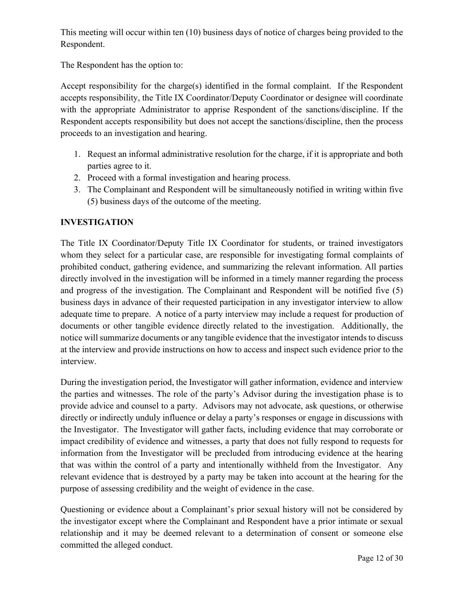This meeting will occur within ten (10) business days of notice of charges being provided to the Respondent.

The Respondent has the option to:

Accept responsibility for the charge(s) identified in the formal complaint. If the Respondent accepts responsibility, the Title IX Coordinator/Deputy Coordinator or designee will coordinate with the appropriate Administrator to apprise Respondent of the sanctions/discipline. If the Respondent accepts responsibility but does not accept the sanctions/discipline, then the process proceeds to an investigation and hearing.

- 1. Request an informal administrative resolution for the charge, if it is appropriate and both parties agree to it.
- 2. Proceed with a formal investigation and hearing process.
- 3. The Complainant and Respondent will be simultaneously notified in writing within five (5) business days of the outcome of the meeting.

# **INVESTIGATION**

The Title IX Coordinator/Deputy Title IX Coordinator for students, or trained investigators whom they select for a particular case, are responsible for investigating formal complaints of prohibited conduct, gathering evidence, and summarizing the relevant information. All parties directly involved in the investigation will be informed in a timely manner regarding the process and progress of the investigation. The Complainant and Respondent will be notified five (5) business days in advance of their requested participation in any investigator interview to allow adequate time to prepare. A notice of a party interview may include a request for production of documents or other tangible evidence directly related to the investigation. Additionally, the notice will summarize documents or any tangible evidence that the investigator intends to discuss at the interview and provide instructions on how to access and inspect such evidence prior to the interview.

During the investigation period, the Investigator will gather information, evidence and interview the parties and witnesses. The role of the party's Advisor during the investigation phase is to provide advice and counsel to a party. Advisors may not advocate, ask questions, or otherwise directly or indirectly unduly influence or delay a party's responses or engage in discussions with the Investigator. The Investigator will gather facts, including evidence that may corroborate or impact credibility of evidence and witnesses, a party that does not fully respond to requests for information from the Investigator will be precluded from introducing evidence at the hearing that was within the control of a party and intentionally withheld from the Investigator. Any relevant evidence that is destroyed by a party may be taken into account at the hearing for the purpose of assessing credibility and the weight of evidence in the case.

Questioning or evidence about a Complainant's prior sexual history will not be considered by the investigator except where the Complainant and Respondent have a prior intimate or sexual relationship and it may be deemed relevant to a determination of consent or someone else committed the alleged conduct.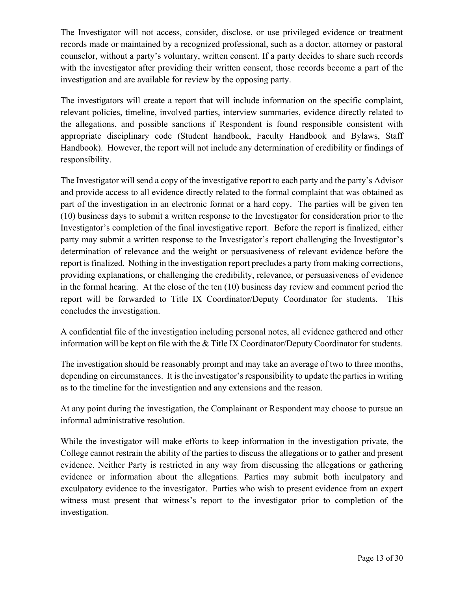The Investigator will not access, consider, disclose, or use privileged evidence or treatment records made or maintained by a recognized professional, such as a doctor, attorney or pastoral counselor, without a party's voluntary, written consent. If a party decides to share such records with the investigator after providing their written consent, those records become a part of the investigation and are available for review by the opposing party.

The investigators will create a report that will include information on the specific complaint, relevant policies, timeline, involved parties, interview summaries, evidence directly related to the allegations, and possible sanctions if Respondent is found responsible consistent with appropriate disciplinary code (Student handbook, Faculty Handbook and Bylaws, Staff Handbook). However, the report will not include any determination of credibility or findings of responsibility.

The Investigator will send a copy of the investigative report to each party and the party's Advisor and provide access to all evidence directly related to the formal complaint that was obtained as part of the investigation in an electronic format or a hard copy. The parties will be given ten (10) business days to submit a written response to the Investigator for consideration prior to the Investigator's completion of the final investigative report. Before the report is finalized, either party may submit a written response to the Investigator's report challenging the Investigator's determination of relevance and the weight or persuasiveness of relevant evidence before the report is finalized. Nothing in the investigation report precludes a party from making corrections, providing explanations, or challenging the credibility, relevance, or persuasiveness of evidence in the formal hearing. At the close of the ten (10) business day review and comment period the report will be forwarded to Title IX Coordinator/Deputy Coordinator for students. This concludes the investigation.

A confidential file of the investigation including personal notes, all evidence gathered and other information will be kept on file with the & Title IX Coordinator/Deputy Coordinator for students.

The investigation should be reasonably prompt and may take an average of two to three months, depending on circumstances. It is the investigator's responsibility to update the parties in writing as to the timeline for the investigation and any extensions and the reason.

At any point during the investigation, the Complainant or Respondent may choose to pursue an informal administrative resolution.

While the investigator will make efforts to keep information in the investigation private, the College cannot restrain the ability of the parties to discuss the allegations or to gather and present evidence. Neither Party is restricted in any way from discussing the allegations or gathering evidence or information about the allegations. Parties may submit both inculpatory and exculpatory evidence to the investigator. Parties who wish to present evidence from an expert witness must present that witness's report to the investigator prior to completion of the investigation.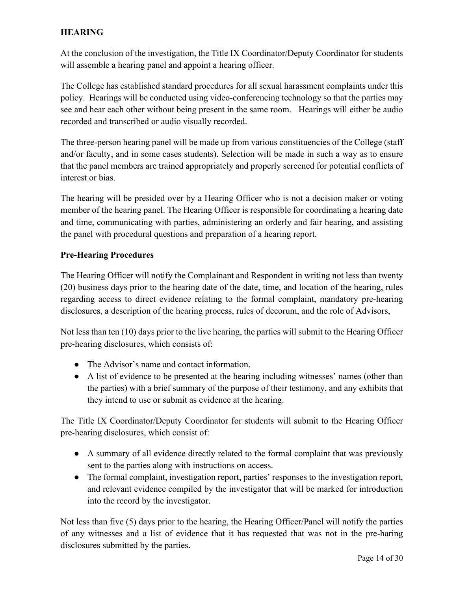## **HEARING**

At the conclusion of the investigation, the Title IX Coordinator/Deputy Coordinator for students will assemble a hearing panel and appoint a hearing officer.

The College has established standard procedures for all sexual harassment complaints under this policy. Hearings will be conducted using video-conferencing technology so that the parties may see and hear each other without being present in the same room. Hearings will either be audio recorded and transcribed or audio visually recorded.

The three-person hearing panel will be made up from various constituencies of the College (staff and/or faculty, and in some cases students). Selection will be made in such a way as to ensure that the panel members are trained appropriately and properly screened for potential conflicts of interest or bias.

The hearing will be presided over by a Hearing Officer who is not a decision maker or voting member of the hearing panel. The Hearing Officer is responsible for coordinating a hearing date and time, communicating with parties, administering an orderly and fair hearing, and assisting the panel with procedural questions and preparation of a hearing report.

#### **Pre-Hearing Procedures**

The Hearing Officer will notify the Complainant and Respondent in writing not less than twenty (20) business days prior to the hearing date of the date, time, and location of the hearing, rules regarding access to direct evidence relating to the formal complaint, mandatory pre-hearing disclosures, a description of the hearing process, rules of decorum, and the role of Advisors,

Not less than ten (10) days prior to the live hearing, the parties will submit to the Hearing Officer pre-hearing disclosures, which consists of:

- The Advisor's name and contact information.
- A list of evidence to be presented at the hearing including witnesses' names (other than the parties) with a brief summary of the purpose of their testimony, and any exhibits that they intend to use or submit as evidence at the hearing.

The Title IX Coordinator/Deputy Coordinator for students will submit to the Hearing Officer pre-hearing disclosures, which consist of:

- A summary of all evidence directly related to the formal complaint that was previously sent to the parties along with instructions on access.
- The formal complaint, investigation report, parties' responses to the investigation report, and relevant evidence compiled by the investigator that will be marked for introduction into the record by the investigator.

Not less than five (5) days prior to the hearing, the Hearing Officer/Panel will notify the parties of any witnesses and a list of evidence that it has requested that was not in the pre-haring disclosures submitted by the parties.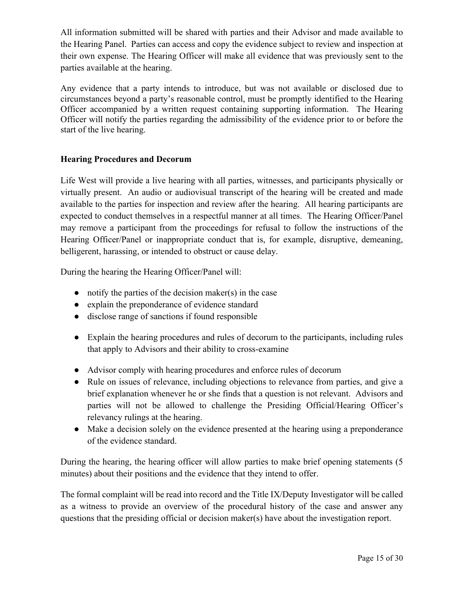All information submitted will be shared with parties and their Advisor and made available to the Hearing Panel. Parties can access and copy the evidence subject to review and inspection at their own expense. The Hearing Officer will make all evidence that was previously sent to the parties available at the hearing.

Any evidence that a party intends to introduce, but was not available or disclosed due to circumstances beyond a party's reasonable control, must be promptly identified to the Hearing Officer accompanied by a written request containing supporting information. The Hearing Officer will notify the parties regarding the admissibility of the evidence prior to or before the start of the live hearing.

#### **Hearing Procedures and Decorum**

Life West will provide a live hearing with all parties, witnesses, and participants physically or virtually present. An audio or audiovisual transcript of the hearing will be created and made available to the parties for inspection and review after the hearing. All hearing participants are expected to conduct themselves in a respectful manner at all times. The Hearing Officer/Panel may remove a participant from the proceedings for refusal to follow the instructions of the Hearing Officer/Panel or inappropriate conduct that is, for example, disruptive, demeaning, belligerent, harassing, or intended to obstruct or cause delay.

During the hearing the Hearing Officer/Panel will:

- $\bullet$  notify the parties of the decision maker(s) in the case
- explain the preponderance of evidence standard
- disclose range of sanctions if found responsible
- Explain the hearing procedures and rules of decorum to the participants, including rules that apply to Advisors and their ability to cross-examine
- Advisor comply with hearing procedures and enforce rules of decorum
- Rule on issues of relevance, including objections to relevance from parties, and give a brief explanation whenever he or she finds that a question is not relevant. Advisors and parties will not be allowed to challenge the Presiding Official/Hearing Officer's relevancy rulings at the hearing.
- Make a decision solely on the evidence presented at the hearing using a preponderance of the evidence standard.

During the hearing, the hearing officer will allow parties to make brief opening statements (5 minutes) about their positions and the evidence that they intend to offer.

The formal complaint will be read into record and the Title IX/Deputy Investigator will be called as a witness to provide an overview of the procedural history of the case and answer any questions that the presiding official or decision maker(s) have about the investigation report.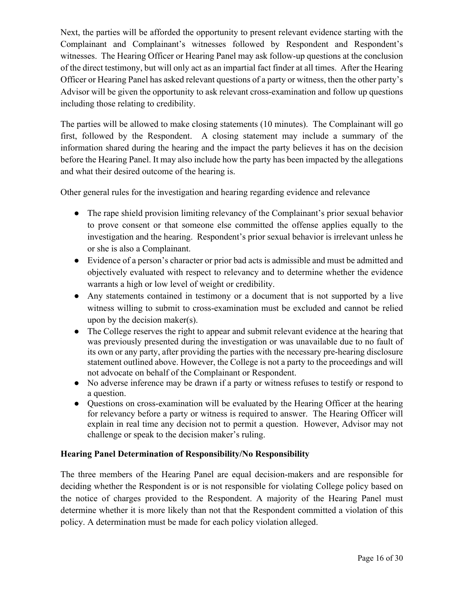Next, the parties will be afforded the opportunity to present relevant evidence starting with the Complainant and Complainant's witnesses followed by Respondent and Respondent's witnesses. The Hearing Officer or Hearing Panel may ask follow-up questions at the conclusion of the direct testimony, but will only act as an impartial fact finder at all times. After the Hearing Officer or Hearing Panel has asked relevant questions of a party or witness, then the other party's Advisor will be given the opportunity to ask relevant cross-examination and follow up questions including those relating to credibility.

The parties will be allowed to make closing statements (10 minutes). The Complainant will go first, followed by the Respondent. A closing statement may include a summary of the information shared during the hearing and the impact the party believes it has on the decision before the Hearing Panel. It may also include how the party has been impacted by the allegations and what their desired outcome of the hearing is.

Other general rules for the investigation and hearing regarding evidence and relevance

- The rape shield provision limiting relevancy of the Complainant's prior sexual behavior to prove consent or that someone else committed the offense applies equally to the investigation and the hearing. Respondent's prior sexual behavior is irrelevant unless he or she is also a Complainant.
- Evidence of a person's character or prior bad acts is admissible and must be admitted and objectively evaluated with respect to relevancy and to determine whether the evidence warrants a high or low level of weight or credibility.
- Any statements contained in testimony or a document that is not supported by a live witness willing to submit to cross-examination must be excluded and cannot be relied upon by the decision maker(s).
- The College reserves the right to appear and submit relevant evidence at the hearing that was previously presented during the investigation or was unavailable due to no fault of its own or any party, after providing the parties with the necessary pre-hearing disclosure statement outlined above. However, the College is not a party to the proceedings and will not advocate on behalf of the Complainant or Respondent.
- No adverse inference may be drawn if a party or witness refuses to testify or respond to a question.
- Questions on cross-examination will be evaluated by the Hearing Officer at the hearing for relevancy before a party or witness is required to answer. The Hearing Officer will explain in real time any decision not to permit a question. However, Advisor may not challenge or speak to the decision maker's ruling.

#### **Hearing Panel Determination of Responsibility/No Responsibility**

The three members of the Hearing Panel are equal decision-makers and are responsible for deciding whether the Respondent is or is not responsible for violating College policy based on the notice of charges provided to the Respondent. A majority of the Hearing Panel must determine whether it is more likely than not that the Respondent committed a violation of this policy. A determination must be made for each policy violation alleged.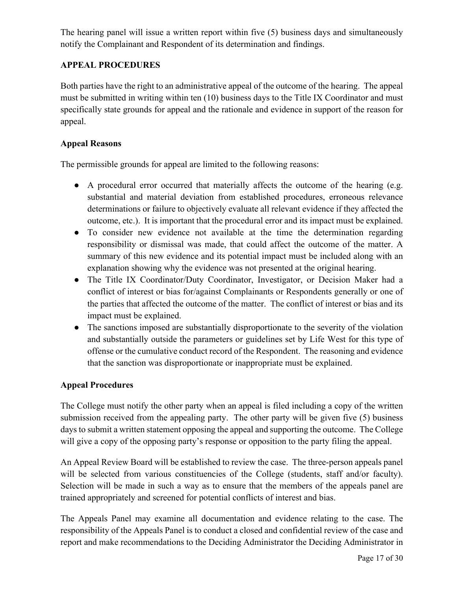The hearing panel will issue a written report within five (5) business days and simultaneously notify the Complainant and Respondent of its determination and findings.

### **APPEAL PROCEDURES**

Both parties have the right to an administrative appeal of the outcome of the hearing. The appeal must be submitted in writing within ten (10) business days to the Title IX Coordinator and must specifically state grounds for appeal and the rationale and evidence in support of the reason for appeal.

### **Appeal Reasons**

The permissible grounds for appeal are limited to the following reasons:

- A procedural error occurred that materially affects the outcome of the hearing (e.g. substantial and material deviation from established procedures, erroneous relevance determinations or failure to objectively evaluate all relevant evidence if they affected the outcome, etc.). It is important that the procedural error and its impact must be explained.
- To consider new evidence not available at the time the determination regarding responsibility or dismissal was made, that could affect the outcome of the matter. A summary of this new evidence and its potential impact must be included along with an explanation showing why the evidence was not presented at the original hearing.
- The Title IX Coordinator/Duty Coordinator, Investigator, or Decision Maker had a conflict of interest or bias for/against Complainants or Respondents generally or one of the parties that affected the outcome of the matter. The conflict of interest or bias and its impact must be explained.
- The sanctions imposed are substantially disproportionate to the severity of the violation and substantially outside the parameters or guidelines set by Life West for this type of offense or the cumulative conduct record of the Respondent. The reasoning and evidence that the sanction was disproportionate or inappropriate must be explained.

#### **Appeal Procedures**

The College must notify the other party when an appeal is filed including a copy of the written submission received from the appealing party. The other party will be given five (5) business days to submit a written statement opposing the appeal and supporting the outcome. The College will give a copy of the opposing party's response or opposition to the party filing the appeal.

An Appeal Review Board will be established to review the case. The three-person appeals panel will be selected from various constituencies of the College (students, staff and/or faculty). Selection will be made in such a way as to ensure that the members of the appeals panel are trained appropriately and screened for potential conflicts of interest and bias.

The Appeals Panel may examine all documentation and evidence relating to the case. The responsibility of the Appeals Panel is to conduct a closed and confidential review of the case and report and make recommendations to the Deciding Administrator the Deciding Administrator in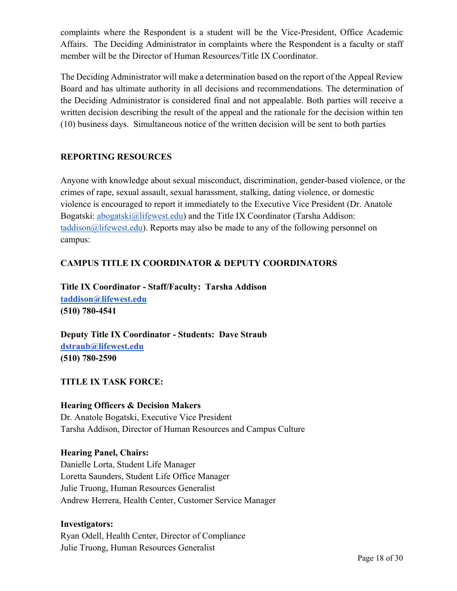complaints where the Respondent is a student will be the Vice-President, Office Academic Affairs. The Deciding Administrator in complaints where the Respondent is a faculty or staff member will be the Director of Human Resources/Title IX Coordinator.

The Deciding Administrator will make a determination based on the report of the Appeal Review Board and has ultimate authority in all decisions and recommendations. The determination of the Deciding Administrator is considered final and not appealable. Both parties will receive a written decision describing the result of the appeal and the rationale for the decision within ten (10) business days. Simultaneous notice of the written decision will be sent to both parties

### **REPORTING RESOURCES**

Anyone with knowledge about sexual misconduct, discrimination, gender-based violence, or the crimes of rape, sexual assault, sexual harassment, stalking, dating violence, or domestic violence is encouraged to report it immediately to the Executive Vice President (Dr. Anatole Bogatski: abogatski@lifewest.edu) and the Title IX Coordinator (Tarsha Addison:  $taddison@lifewest.edu).$  Reports may also be made to any of the following personnel on campus:

### **CAMPUS TITLE IX COORDINATOR & DEPUTY COORDINATORS**

**Title IX Coordinator - Staff/Faculty: Tarsha Addison taddison@lifewest.edu (510) 780-4541**

**Deputy Title IX Coordinator - Students: Dave Straub dstraub@lifewest.edu (510) 780-2590**

#### **TITLE IX TASK FORCE:**

#### **Hearing Officers & Decision Makers**

Dr. Anatole Bogatski, Executive Vice President Tarsha Addison, Director of Human Resources and Campus Culture

#### **Hearing Panel, Chairs:**

Danielle Lorta, Student Life Manager Loretta Saunders, Student Life Office Manager Julie Truong, Human Resources Generalist Andrew Herrera, Health Center, Customer Service Manager

#### **Investigators:**

Ryan Odell, Health Center, Director of Compliance Julie Truong, Human Resources Generalist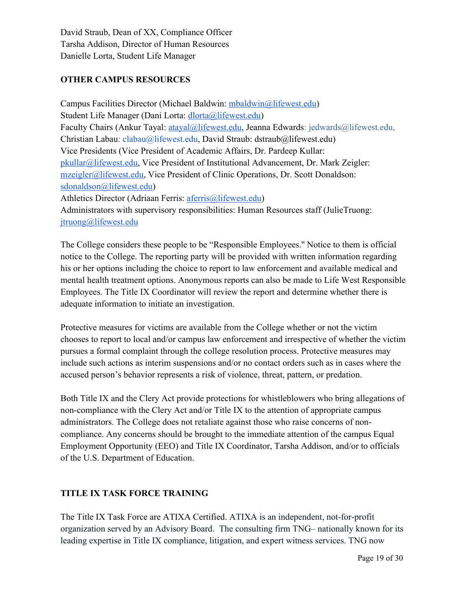# **OTHER CAMPUS RESOURCES**

Campus Facilities Director (Michael Baldwin: mbaldwin@lifewest.edu) Student Life Manager (Dani Lorta: dlorta@lifewest.edu) Faculty Chairs (Ankur Tayal: atayal@lifewest.edu, Jeanna Edwards: jedwards@lifewest.edu, Christian Labau: clabau@lifewest.edu, David Straub: dstraub@lifewest.edu) Vice Presidents (Vice President of Academic Affairs, Dr. Pardeep Kullar: pkullar@lifewest.edu, Vice President of Institutional Advancement, Dr. Mark Zeigler: mzeigler@lifewest.edu, Vice President of Clinic Operations, Dr. Scott Donaldson: sdonaldson@lifewest.edu) Athletics Director (Adriaan Ferris: aferris@lifewest.edu) Administrators with supervisory responsibilities: Human Resources staff (JulieTruong: jtruong@lifewest.edu

The College considers these people to be "Responsible Employees.'' Notice to them is official notice to the College. The reporting party will be provided with written information regarding his or her options including the choice to report to law enforcement and available medical and mental health treatment options. Anonymous reports can also be made to Life West Responsible Employees. The Title IX Coordinator will review the report and determine whether there is adequate information to initiate an investigation.

Protective measures for victims are available from the College whether or not the victim chooses to report to local and/or campus law enforcement and irrespective of whether the victim pursues a formal complaint through the college resolution process. Protective measures may include such actions as interim suspensions and/or no contact orders such as in cases where the accused person's behavior represents a risk of violence, threat, pattern, or predation.

Both Title IX and the Clery Act provide protections for whistleblowers who bring allegations of non-compliance with the Clery Act and/or Title IX to the attention of appropriate campus administrators. The College does not retaliate against those who raise concerns of noncompliance. Any concerns should be brought to the immediate attention of the campus Equal Employment Opportunity (EEO) and Title IX Coordinator, Tarsha Addison, and/or to officials of the U.S. Department of Education.

# **TITLE IX TASK FORCE TRAINING**

The Title IX Task Force are ATIXA Certified. ATIXA is an independent, not-for-profit organization served by an Advisory Board. The consulting firm TNG– nationally known for its leading expertise in Title IX compliance, litigation, and expert witness services. TNG now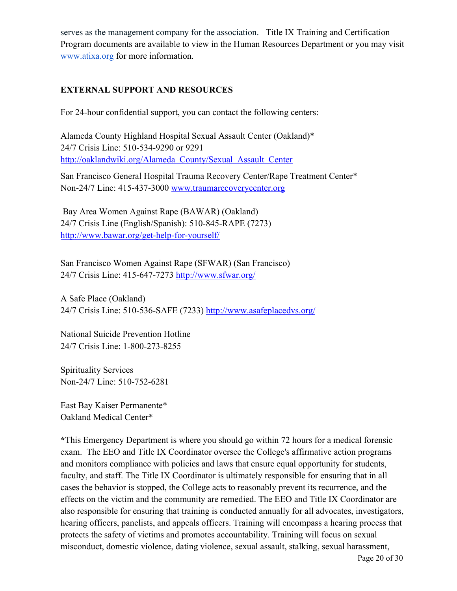serves as the management company for the association. Title IX Training and Certification Program documents are available to view in the Human Resources Department or you may visit www.atixa.org for more information.

### **EXTERNAL SUPPORT AND RESOURCES**

For 24-hour confidential support, you can contact the following centers:

Alameda County Highland Hospital Sexual Assault Center (Oakland)\* 24/7 Crisis Line: 510-534-9290 or 9291 http://oaklandwiki.org/Alameda\_County/Sexual\_Assault\_Center

San Francisco General Hospital Trauma Recovery Center/Rape Treatment Center\* Non-24/7 Line: 415-437-3000 www.traumarecoverycenter.org

Bay Area Women Against Rape (BAWAR) (Oakland) 24/7 Crisis Line (English/Spanish): 510-845-RAPE (7273) http://www.bawar.org/get-help-for-yourself/

San Francisco Women Against Rape (SFWAR) (San Francisco) 24/7 Crisis Line: 415-647-7273 http://www.sfwar.org/

A Safe Place (Oakland) 24/7 Crisis Line: 510-536-SAFE (7233) http://www.asafeplacedvs.org/

National Suicide Prevention Hotline 24/7 Crisis Line: 1-800-273-8255

Spirituality Services Non-24/7 Line: 510-752-6281

East Bay Kaiser Permanente\* Oakland Medical Center\*

**\***This Emergency Department is where you should go within 72 hours for a medical forensic exam. The EEO and Title IX Coordinator oversee the College's affirmative action programs and monitors compliance with policies and laws that ensure equal opportunity for students, faculty, and staff. The Title IX Coordinator is ultimately responsible for ensuring that in all cases the behavior is stopped, the College acts to reasonably prevent its recurrence, and the effects on the victim and the community are remedied. The EEO and Title IX Coordinator are also responsible for ensuring that training is conducted annually for all advocates, investigators, hearing officers, panelists, and appeals officers. Training will encompass a hearing process that protects the safety of victims and promotes accountability. Training will focus on sexual misconduct, domestic violence, dating violence, sexual assault, stalking, sexual harassment,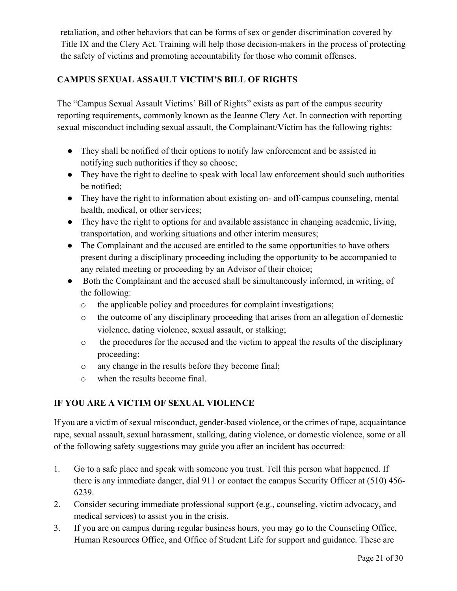retaliation, and other behaviors that can be forms of sex or gender discrimination covered by Title IX and the Clery Act. Training will help those decision-makers in the process of protecting the safety of victims and promoting accountability for those who commit offenses.

## **CAMPUS SEXUAL ASSAULT VICTIM'S BILL OF RIGHTS**

The "Campus Sexual Assault Victims' Bill of Rights" exists as part of the campus security reporting requirements, commonly known as the Jeanne Clery Act. In connection with reporting sexual misconduct including sexual assault, the Complainant/Victim has the following rights:

- They shall be notified of their options to notify law enforcement and be assisted in notifying such authorities if they so choose;
- They have the right to decline to speak with local law enforcement should such authorities be notified;
- They have the right to information about existing on- and off-campus counseling, mental health, medical, or other services;
- They have the right to options for and available assistance in changing academic, living, transportation, and working situations and other interim measures;
- The Complainant and the accused are entitled to the same opportunities to have others present during a disciplinary proceeding including the opportunity to be accompanied to any related meeting or proceeding by an Advisor of their choice;
- Both the Complainant and the accused shall be simultaneously informed, in writing, of the following:
	- o the applicable policy and procedures for complaint investigations;
	- o the outcome of any disciplinary proceeding that arises from an allegation of domestic violence, dating violence, sexual assault, or stalking;
	- o the procedures for the accused and the victim to appeal the results of the disciplinary proceeding;
	- o any change in the results before they become final;
	- o when the results become final.

## **IF YOU ARE A VICTIM OF SEXUAL VIOLENCE**

If you are a victim of sexual misconduct, gender-based violence, or the crimes of rape, acquaintance rape, sexual assault, sexual harassment, stalking, dating violence, or domestic violence, some or all of the following safety suggestions may guide you after an incident has occurred:

- 1. Go to a safe place and speak with someone you trust. Tell this person what happened. If there is any immediate danger, dial 911 or contact the campus Security Officer at (510) 456- 6239.
- 2. Consider securing immediate professional support (e.g., counseling, victim advocacy, and medical services) to assist you in the crisis.
- 3. If you are on campus during regular business hours, you may go to the Counseling Office, Human Resources Office, and Office of Student Life for support and guidance. These are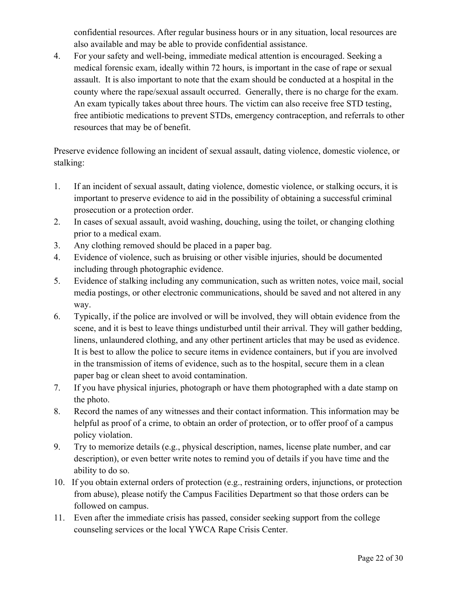confidential resources. After regular business hours or in any situation, local resources are also available and may be able to provide confidential assistance.

4. For your safety and well-being, immediate medical attention is encouraged. Seeking a medical forensic exam, ideally within 72 hours, is important in the case of rape or sexual assault. It is also important to note that the exam should be conducted at a hospital in the county where the rape/sexual assault occurred. Generally, there is no charge for the exam. An exam typically takes about three hours. The victim can also receive free STD testing, free antibiotic medications to prevent STDs, emergency contraception, and referrals to other resources that may be of benefit.

Preserve evidence following an incident of sexual assault, dating violence, domestic violence, or stalking:

- 1. If an incident of sexual assault, dating violence, domestic violence, or stalking occurs, it is important to preserve evidence to aid in the possibility of obtaining a successful criminal prosecution or a protection order.
- 2. In cases of sexual assault, avoid washing, douching, using the toilet, or changing clothing prior to a medical exam.
- 3. Any clothing removed should be placed in a paper bag.
- 4. Evidence of violence, such as bruising or other visible injuries, should be documented including through photographic evidence.
- 5. Evidence of stalking including any communication, such as written notes, voice mail, social media postings, or other electronic communications, should be saved and not altered in any way.
- 6. Typically, if the police are involved or will be involved, they will obtain evidence from the scene, and it is best to leave things undisturbed until their arrival. They will gather bedding, linens, unlaundered clothing, and any other pertinent articles that may be used as evidence. It is best to allow the police to secure items in evidence containers, but if you are involved in the transmission of items of evidence, such as to the hospital, secure them in a clean paper bag or clean sheet to avoid contamination.
- 7. If you have physical injuries, photograph or have them photographed with a date stamp on the photo.
- 8. Record the names of any witnesses and their contact information. This information may be helpful as proof of a crime, to obtain an order of protection, or to offer proof of a campus policy violation.
- 9. Try to memorize details (e.g., physical description, names, license plate number, and car description), or even better write notes to remind you of details if you have time and the ability to do so.
- 10. If you obtain external orders of protection (e.g., restraining orders, injunctions, or protection from abuse), please notify the Campus Facilities Department so that those orders can be followed on campus.
- 11. Even after the immediate crisis has passed, consider seeking support from the college counseling services or the local YWCA Rape Crisis Center.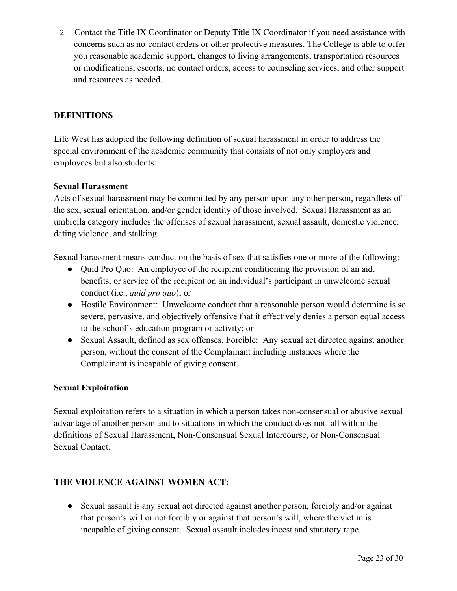12. Contact the Title IX Coordinator or Deputy Title IX Coordinator if you need assistance with concerns such as no-contact orders or other protective measures. The College is able to offer you reasonable academic support, changes to living arrangements, transportation resources or modifications, escorts, no contact orders, access to counseling services, and other support and resources as needed.

## **DEFINITIONS**

Life West has adopted the following definition of sexual harassment in order to address the special environment of the academic community that consists of not only employers and employees but also students:

#### **Sexual Harassment**

Acts of sexual harassment may be committed by any person upon any other person, regardless of the sex, sexual orientation, and/or gender identity of those involved. Sexual Harassment as an umbrella category includes the offenses of sexual harassment, sexual assault, domestic violence, dating violence, and stalking.

Sexual harassment means conduct on the basis of sex that satisfies one or more of the following:

- Quid Pro Quo: An employee of the recipient conditioning the provision of an aid, benefits, or service of the recipient on an individual's participant in unwelcome sexual conduct (i.e., *quid pro quo*); or
- Hostile Environment: Unwelcome conduct that a reasonable person would determine is so severe, pervasive, and objectively offensive that it effectively denies a person equal access to the school's education program or activity; or
- Sexual Assault, defined as sex offenses, Forcible: Any sexual act directed against another person, without the consent of the Complainant including instances where the Complainant is incapable of giving consent.

#### **Sexual Exploitation**

Sexual exploitation refers to a situation in which a person takes non-consensual or abusive sexual advantage of another person and to situations in which the conduct does not fall within the definitions of Sexual Harassment, Non-Consensual Sexual Intercourse, or Non-Consensual Sexual Contact.

#### **THE VIOLENCE AGAINST WOMEN ACT:**

● Sexual assault is any sexual act directed against another person, forcibly and/or against that person's will or not forcibly or against that person's will, where the victim is incapable of giving consent. Sexual assault includes incest and statutory rape.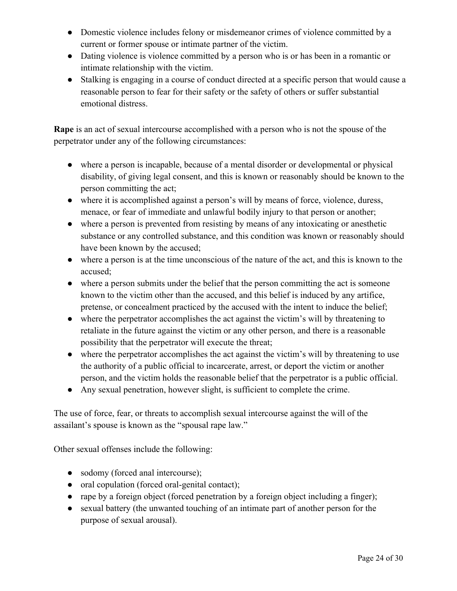- Domestic violence includes felony or misdemeanor crimes of violence committed by a current or former spouse or intimate partner of the victim.
- Dating violence is violence committed by a person who is or has been in a romantic or intimate relationship with the victim.
- Stalking is engaging in a course of conduct directed at a specific person that would cause a reasonable person to fear for their safety or the safety of others or suffer substantial emotional distress.

**Rape** is an act of sexual intercourse accomplished with a person who is not the spouse of the perpetrator under any of the following circumstances:

- where a person is incapable, because of a mental disorder or developmental or physical disability, of giving legal consent, and this is known or reasonably should be known to the person committing the act;
- where it is accomplished against a person's will by means of force, violence, duress, menace, or fear of immediate and unlawful bodily injury to that person or another;
- where a person is prevented from resisting by means of any intoxicating or anesthetic substance or any controlled substance, and this condition was known or reasonably should have been known by the accused;
- where a person is at the time unconscious of the nature of the act, and this is known to the accused;
- where a person submits under the belief that the person committing the act is someone known to the victim other than the accused, and this belief is induced by any artifice, pretense, or concealment practiced by the accused with the intent to induce the belief;
- where the perpetrator accomplishes the act against the victim's will by threatening to retaliate in the future against the victim or any other person, and there is a reasonable possibility that the perpetrator will execute the threat;
- where the perpetrator accomplishes the act against the victim's will by threatening to use the authority of a public official to incarcerate, arrest, or deport the victim or another person, and the victim holds the reasonable belief that the perpetrator is a public official.
- Any sexual penetration, however slight, is sufficient to complete the crime.

The use of force, fear, or threats to accomplish sexual intercourse against the will of the assailant's spouse is known as the "spousal rape law."

Other sexual offenses include the following:

- sodomy (forced anal intercourse);
- oral copulation (forced oral-genital contact);
- rape by a foreign object (forced penetration by a foreign object including a finger);
- sexual battery (the unwanted touching of an intimate part of another person for the purpose of sexual arousal).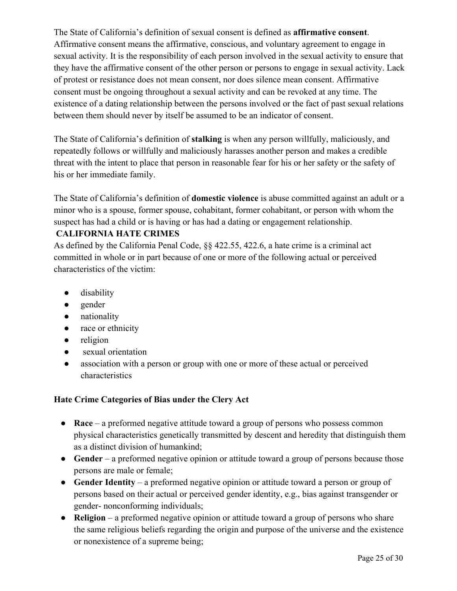The State of California's definition of sexual consent is defined as **affirmative consent**. Affirmative consent means the affirmative, conscious, and voluntary agreement to engage in sexual activity. It is the responsibility of each person involved in the sexual activity to ensure that they have the affirmative consent of the other person or persons to engage in sexual activity. Lack of protest or resistance does not mean consent, nor does silence mean consent. Affirmative consent must be ongoing throughout a sexual activity and can be revoked at any time. The existence of a dating relationship between the persons involved or the fact of past sexual relations between them should never by itself be assumed to be an indicator of consent.

The State of California's definition of **stalking** is when any person willfully, maliciously, and repeatedly follows or willfully and maliciously harasses another person and makes a credible threat with the intent to place that person in reasonable fear for his or her safety or the safety of his or her immediate family.

The State of California's definition of **domestic violence** is abuse committed against an adult or a minor who is a spouse, former spouse, cohabitant, former cohabitant, or person with whom the suspect has had a child or is having or has had a dating or engagement relationship.

## **CALIFORNIA HATE CRIMES**

As defined by the California Penal Code, §§ 422.55, 422.6, a hate crime is a criminal act committed in whole or in part because of one or more of the following actual or perceived characteristics of the victim:

- disability
- gender
- nationality
- race or ethnicity
- religion
- sexual orientation
- association with a person or group with one or more of these actual or perceived characteristics

## **Hate Crime Categories of Bias under the Clery Act**

- **Race** a preformed negative attitude toward a group of persons who possess common physical characteristics genetically transmitted by descent and heredity that distinguish them as a distinct division of humankind;
- **Gender**  a preformed negative opinion or attitude toward a group of persons because those persons are male or female;
- **Gender Identity** a preformed negative opinion or attitude toward a person or group of persons based on their actual or perceived gender identity, e.g., bias against transgender or gender- nonconforming individuals;
- **Religion** a preformed negative opinion or attitude toward a group of persons who share the same religious beliefs regarding the origin and purpose of the universe and the existence or nonexistence of a supreme being;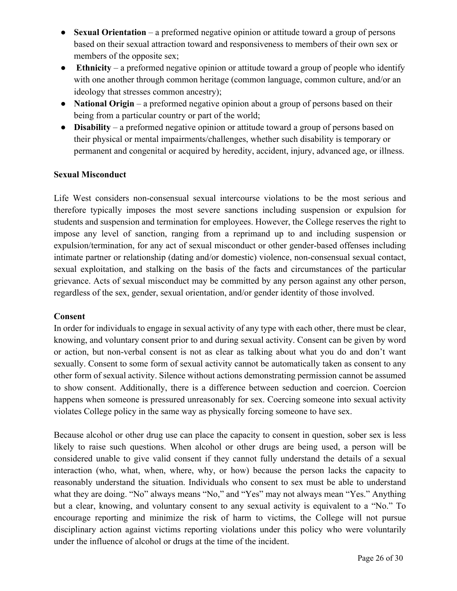- **Sexual Orientation** a preformed negative opinion or attitude toward a group of persons based on their sexual attraction toward and responsiveness to members of their own sex or members of the opposite sex;
- **Ethnicity** a preformed negative opinion or attitude toward a group of people who identify with one another through common heritage (common language, common culture, and/or an ideology that stresses common ancestry);
- **National Origin** a preformed negative opinion about a group of persons based on their being from a particular country or part of the world;
- **Disability** a preformed negative opinion or attitude toward a group of persons based on their physical or mental impairments/challenges, whether such disability is temporary or permanent and congenital or acquired by heredity, accident, injury, advanced age, or illness.

#### **Sexual Misconduct**

Life West considers non-consensual sexual intercourse violations to be the most serious and therefore typically imposes the most severe sanctions including suspension or expulsion for students and suspension and termination for employees. However, the College reserves the right to impose any level of sanction, ranging from a reprimand up to and including suspension or expulsion/termination, for any act of sexual misconduct or other gender-based offenses including intimate partner or relationship (dating and/or domestic) violence, non-consensual sexual contact, sexual exploitation, and stalking on the basis of the facts and circumstances of the particular grievance. Acts of sexual misconduct may be committed by any person against any other person, regardless of the sex, gender, sexual orientation, and/or gender identity of those involved.

#### **Consent**

In order for individuals to engage in sexual activity of any type with each other, there must be clear, knowing, and voluntary consent prior to and during sexual activity. Consent can be given by word or action, but non-verbal consent is not as clear as talking about what you do and don't want sexually. Consent to some form of sexual activity cannot be automatically taken as consent to any other form of sexual activity. Silence without actions demonstrating permission cannot be assumed to show consent. Additionally, there is a difference between seduction and coercion. Coercion happens when someone is pressured unreasonably for sex. Coercing someone into sexual activity violates College policy in the same way as physically forcing someone to have sex.

Because alcohol or other drug use can place the capacity to consent in question, sober sex is less likely to raise such questions. When alcohol or other drugs are being used, a person will be considered unable to give valid consent if they cannot fully understand the details of a sexual interaction (who, what, when, where, why, or how) because the person lacks the capacity to reasonably understand the situation. Individuals who consent to sex must be able to understand what they are doing. "No" always means "No," and "Yes" may not always mean "Yes." Anything but a clear, knowing, and voluntary consent to any sexual activity is equivalent to a "No." To encourage reporting and minimize the risk of harm to victims, the College will not pursue disciplinary action against victims reporting violations under this policy who were voluntarily under the influence of alcohol or drugs at the time of the incident.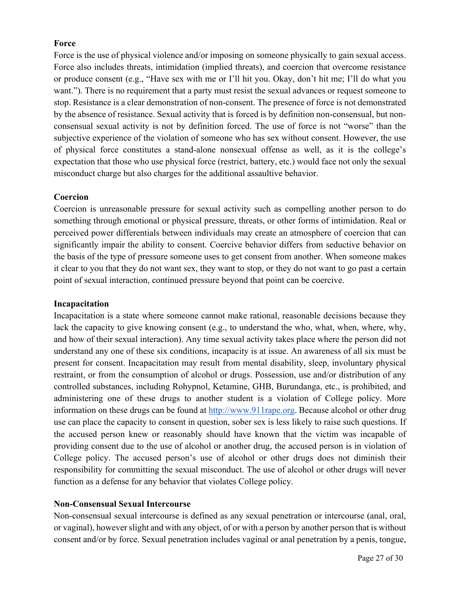#### **Force**

Force is the use of physical violence and/or imposing on someone physically to gain sexual access. Force also includes threats, intimidation (implied threats), and coercion that overcome resistance or produce consent (e.g., "Have sex with me or I'll hit you. Okay, don't hit me; I'll do what you want."). There is no requirement that a party must resist the sexual advances or request someone to stop. Resistance is a clear demonstration of non-consent. The presence of force is not demonstrated by the absence of resistance. Sexual activity that is forced is by definition non-consensual, but nonconsensual sexual activity is not by definition forced. The use of force is not "worse" than the subjective experience of the violation of someone who has sex without consent. However, the use of physical force constitutes a stand-alone nonsexual offense as well, as it is the college's expectation that those who use physical force (restrict, battery, etc.) would face not only the sexual misconduct charge but also charges for the additional assaultive behavior.

#### **Coercion**

Coercion is unreasonable pressure for sexual activity such as compelling another person to do something through emotional or physical pressure, threats, or other forms of intimidation. Real or perceived power differentials between individuals may create an atmosphere of coercion that can significantly impair the ability to consent. Coercive behavior differs from seductive behavior on the basis of the type of pressure someone uses to get consent from another. When someone makes it clear to you that they do not want sex, they want to stop, or they do not want to go past a certain point of sexual interaction, continued pressure beyond that point can be coercive.

#### **Incapacitation**

Incapacitation is a state where someone cannot make rational, reasonable decisions because they lack the capacity to give knowing consent (e.g., to understand the who, what, when, where, why, and how of their sexual interaction). Any time sexual activity takes place where the person did not understand any one of these six conditions, incapacity is at issue. An awareness of all six must be present for consent. Incapacitation may result from mental disability, sleep, involuntary physical restraint, or from the consumption of alcohol or drugs. Possession, use and/or distribution of any controlled substances, including Rohypnol, Ketamine, GHB, Burundanga, etc., is prohibited, and administering one of these drugs to another student is a violation of College policy. More information on these drugs can be found at http://www.911rape.org. Because alcohol or other drug use can place the capacity to consent in question, sober sex is less likely to raise such questions. If the accused person knew or reasonably should have known that the victim was incapable of providing consent due to the use of alcohol or another drug, the accused person is in violation of College policy. The accused person's use of alcohol or other drugs does not diminish their responsibility for committing the sexual misconduct. The use of alcohol or other drugs will never function as a defense for any behavior that violates College policy.

#### **Non-Consensual Sexual Intercourse**

Non-consensual sexual intercourse is defined as any sexual penetration or intercourse (anal, oral, or vaginal), however slight and with any object, of or with a person by another person that is without consent and/or by force. Sexual penetration includes vaginal or anal penetration by a penis, tongue,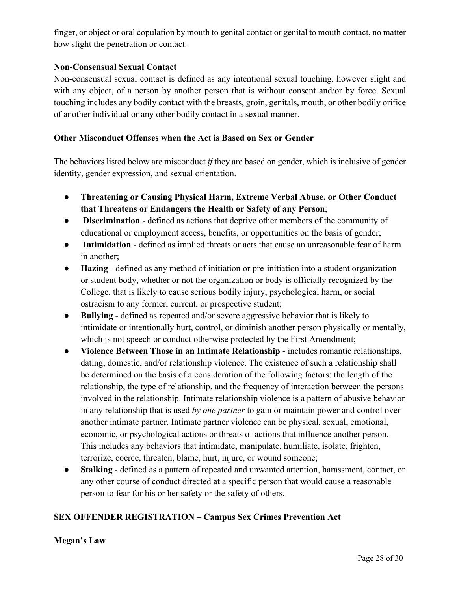finger, or object or oral copulation by mouth to genital contact or genital to mouth contact, no matter how slight the penetration or contact.

#### **Non-Consensual Sexual Contact**

Non-consensual sexual contact is defined as any intentional sexual touching, however slight and with any object, of a person by another person that is without consent and/or by force. Sexual touching includes any bodily contact with the breasts, groin, genitals, mouth, or other bodily orifice of another individual or any other bodily contact in a sexual manner.

#### **Other Misconduct Offenses when the Act is Based on Sex or Gender**

The behaviors listed below are misconduct *if* they are based on gender, which is inclusive of gender identity, gender expression, and sexual orientation.

- **Threatening or Causing Physical Harm, Extreme Verbal Abuse, or Other Conduct that Threatens or Endangers the Health or Safety of any Person**;
- **Discrimination** defined as actions that deprive other members of the community of educational or employment access, benefits, or opportunities on the basis of gender;
- **Intimidation** defined as implied threats or acts that cause an unreasonable fear of harm in another;
- **Hazing** defined as any method of initiation or pre-initiation into a student organization or student body, whether or not the organization or body is officially recognized by the College, that is likely to cause serious bodily injury, psychological harm, or social ostracism to any former, current, or prospective student;
- **Bullying** defined as repeated and/or severe aggressive behavior that is likely to intimidate or intentionally hurt, control, or diminish another person physically or mentally, which is not speech or conduct otherwise protected by the First Amendment;
- **Violence Between Those in an Intimate Relationship** includes romantic relationships, dating, domestic, and/or relationship violence. The existence of such a relationship shall be determined on the basis of a consideration of the following factors: the length of the relationship, the type of relationship, and the frequency of interaction between the persons involved in the relationship. Intimate relationship violence is a pattern of abusive behavior in any relationship that is used *by one partner* to gain or maintain power and control over another intimate partner. Intimate partner violence can be physical, sexual, emotional, economic, or psychological actions or threats of actions that influence another person. This includes any behaviors that intimidate, manipulate, humiliate, isolate, frighten, terrorize, coerce, threaten, blame, hurt, injure, or wound someone;
- **Stalking** defined as a pattern of repeated and unwanted attention, harassment, contact, or any other course of conduct directed at a specific person that would cause a reasonable person to fear for his or her safety or the safety of others.

#### **SEX OFFENDER REGISTRATION – Campus Sex Crimes Prevention Act**

#### **Megan's Law**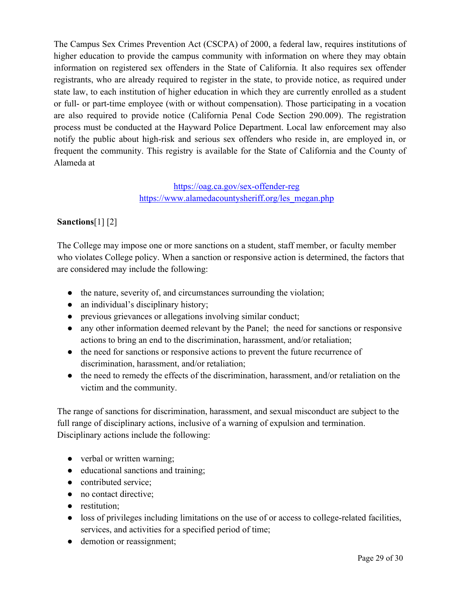The Campus Sex Crimes Prevention Act (CSCPA) of 2000, a federal law, requires institutions of higher education to provide the campus community with information on where they may obtain information on registered sex offenders in the State of California. It also requires sex offender registrants, who are already required to register in the state, to provide notice, as required under state law, to each institution of higher education in which they are currently enrolled as a student or full- or part-time employee (with or without compensation). Those participating in a vocation are also required to provide notice (California Penal Code Section 290.009). The registration process must be conducted at the Hayward Police Department. Local law enforcement may also notify the public about high-risk and serious sex offenders who reside in, are employed in, or frequent the community. This registry is available for the State of California and the County of Alameda at

#### https://oag.ca.gov/sex-offender-reg https://www.alamedacountysheriff.org/les\_megan.php

## **Sanctions**[1] [2]

The College may impose one or more sanctions on a student, staff member, or faculty member who violates College policy. When a sanction or responsive action is determined, the factors that are considered may include the following:

- the nature, severity of, and circumstances surrounding the violation;
- an individual's disciplinary history;
- previous grievances or allegations involving similar conduct;
- any other information deemed relevant by the Panel; the need for sanctions or responsive actions to bring an end to the discrimination, harassment, and/or retaliation;
- the need for sanctions or responsive actions to prevent the future recurrence of discrimination, harassment, and/or retaliation;
- the need to remedy the effects of the discrimination, harassment, and/or retaliation on the victim and the community.

The range of sanctions for discrimination, harassment, and sexual misconduct are subject to the full range of disciplinary actions, inclusive of a warning of expulsion and termination. Disciplinary actions include the following:

- verbal or written warning;
- educational sanctions and training;
- contributed service:
- no contact directive:
- restitution;
- loss of privileges including limitations on the use of or access to college-related facilities, services, and activities for a specified period of time;
- demotion or reassignment;